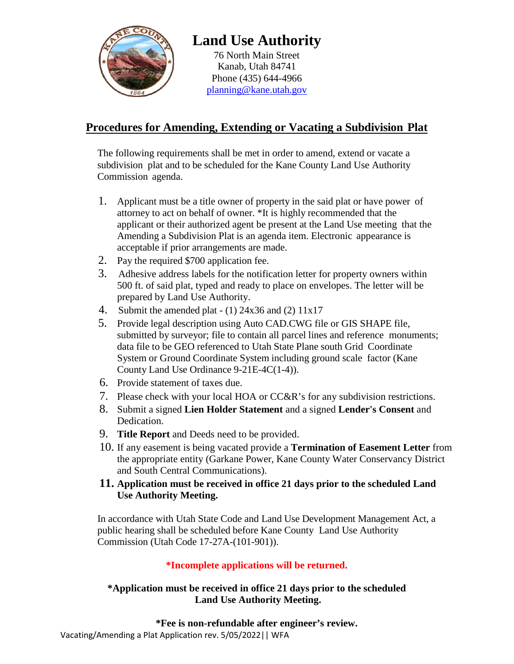

# **Land Use Authority**

76 North Main Street Kanab, Utah 84741 Phone (435) 644-4966 [planning@kane.utah.gov](mailto:planning@kane.utah.gov)

# **Procedures for Amending, Extending or Vacating a Subdivision Plat**

The following requirements shall be met in order to amend, extend or vacate a subdivision plat and to be scheduled for the Kane County Land Use Authority Commission agenda.

- 1. Applicant must be a title owner of property in the said plat or have power of attorney to act on behalf of owner. \*It is highly recommended that the applicant or their authorized agent be present at the Land Use meeting that the Amending a Subdivision Plat is an agenda item. Electronic appearance is acceptable if prior arrangements are made.
- 2. Pay the required \$700 application fee.
- 3. Adhesive address labels for the notification letter for property owners within 500 ft. of said plat, typed and ready to place on envelopes. The letter will be prepared by Land Use Authority.
- 4. Submit the amended plat  $(1)$  24x36 and (2) 11x17
- 5. Provide legal description using Auto CAD.CWG file or GIS SHAPE file, submitted by surveyor; file to contain all parcel lines and reference monuments; data file to be GEO referenced to Utah State Plane south Grid Coordinate System or Ground Coordinate System including ground scale factor (Kane County Land Use Ordinance 9-21E-4C(1-4)).
- 6. Provide statement of taxes due.
- 7. Please check with your local HOA or CC&R's for any subdivision restrictions.
- 8. Submit a signed **Lien Holder Statement** and a signed **Lender's Consent** and Dedication.
- 9. **Title Report** and Deeds need to be provided.
- 10. If any easement is being vacated provide a **Termination of Easement Letter** from the appropriate entity (Garkane Power, Kane County Water Conservancy District and South Central Communications).
- **11. Application must be received in office 21 days prior to the scheduled Land Use Authority Meeting.**

In accordance with Utah State Code and Land Use Development Management Act, a public hearing shall be scheduled before Kane County Land Use Authority Commission (Utah Code 17-27A-(101-901)).

## **\*Incomplete applications will be returned.**

### **\*Application must be received in office 21 days prior to the scheduled Land Use Authority Meeting.**

#### **\*Fee is non-refundable after engineer's review.**

Vacating/Amending a Plat Application rev. 5/05/2022|| WFA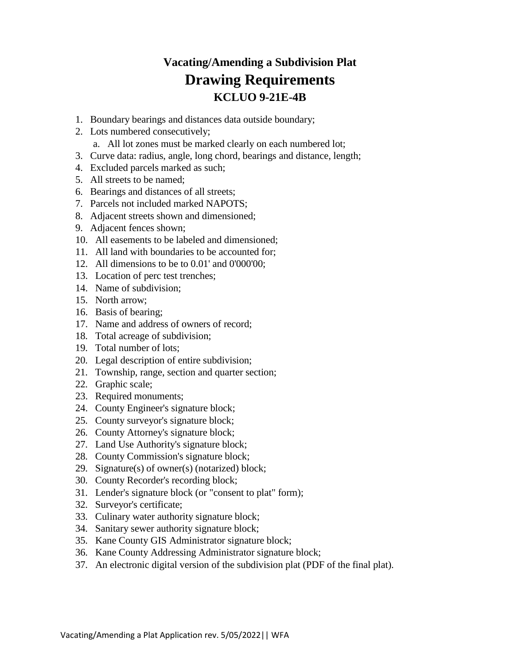# **Vacating/Amending a Subdivision Plat Drawing Requirements KCLUO 9-21E-4B**

- 1. Boundary bearings and distances data outside boundary;
- 2. Lots numbered consecutively;
	- a. All lot zones must be marked clearly on each numbered lot;
- 3. Curve data: radius, angle, long chord, bearings and distance, length;
- 4. Excluded parcels marked as such;
- 5. All streets to be named;
- 6. Bearings and distances of all streets;
- 7. Parcels not included marked NAPOTS;
- 8. Adjacent streets shown and dimensioned;
- 9. Adjacent fences shown;
- 10. All easements to be labeled and dimensioned;
- 11. All land with boundaries to be accounted for;
- 12. All dimensions to be to 0.01' and 0'000'00;
- 13. Location of perc test trenches;
- 14. Name of subdivision;
- 15. North arrow;
- 16. Basis of bearing;
- 17. Name and address of owners of record;
- 18. Total acreage of subdivision;
- 19. Total number of lots;
- 20. Legal description of entire subdivision;
- 21. Township, range, section and quarter section;
- 22. Graphic scale;
- 23. Required monuments;
- 24. County Engineer's signature block;
- 25. County surveyor's signature block;
- 26. County Attorney's signature block;
- 27. Land Use Authority's signature block;
- 28. County Commission's signature block;
- 29. Signature(s) of owner(s) (notarized) block;
- 30. County Recorder's recording block;
- 31. Lender's signature block (or "consent to plat" form);
- 32. Surveyor's certificate;
- 33. Culinary water authority signature block;
- 34. Sanitary sewer authority signature block;
- 35. Kane County GIS Administrator signature block;
- 36. Kane County Addressing Administrator signature block;
- 37. An electronic digital version of the subdivision plat (PDF of the final plat).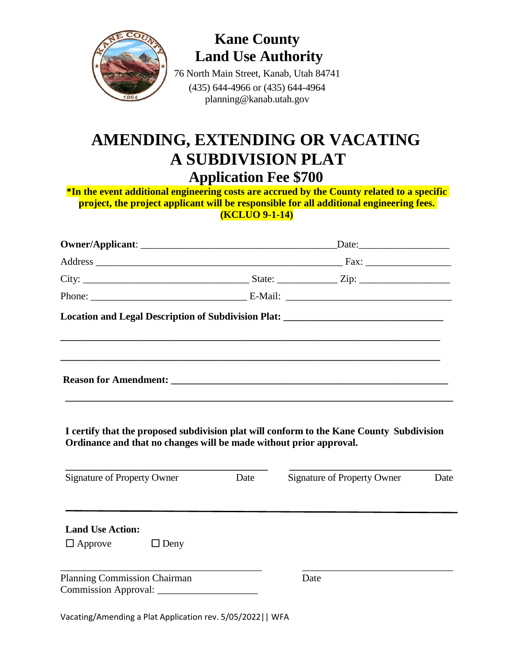

**Kane County Land Use Authority**

76 North Main Street, Kanab, Utah 84741 (435) 644-4966 or (435) 644-4964 planning@kanab.utah.gov

# **AMENDING, EXTENDING OR VACATING A SUBDIVISION PLAT Application Fee \$700**

**\*In the event additional engineering costs are accrued by the County related to a specific project, the project applicant will be responsible for all additional engineering fees. (KCLUO 9-1-14)**

|                                                                    |      | Location and Legal Description of Subdivision Plat: _____________________________        |      |
|--------------------------------------------------------------------|------|------------------------------------------------------------------------------------------|------|
|                                                                    |      | ,我们也不能在这里的时候,我们也不能在这里的时候,我们也不能不能不能不能不能不能不能不能不能不能不能不能不能不能不能。""我们的是,我们也不能不能不能不能不能不         |      |
| Ordinance and that no changes will be made without prior approval. |      | I certify that the proposed subdivision plat will conform to the Kane County Subdivision |      |
| <b>Signature of Property Owner</b>                                 | Date | <b>Signature of Property Owner</b>                                                       | Date |
| <b>Land Use Action:</b><br>$\Box$ Approve<br>$\Box$ Deny           |      |                                                                                          |      |

\_\_\_\_\_\_\_\_\_\_\_\_\_\_\_\_\_\_\_\_\_\_\_\_\_\_\_\_\_\_\_\_\_\_\_\_\_\_\_\_ \_\_\_\_\_\_\_\_\_\_\_\_\_\_\_\_\_\_\_\_\_\_\_\_\_\_\_\_\_\_

Planning Commission Chairman Date Commission Approval: \_\_\_\_\_\_\_\_\_\_\_\_\_\_\_\_\_\_\_\_

Vacating/Amending a Plat Application rev. 5/05/2022|| WFA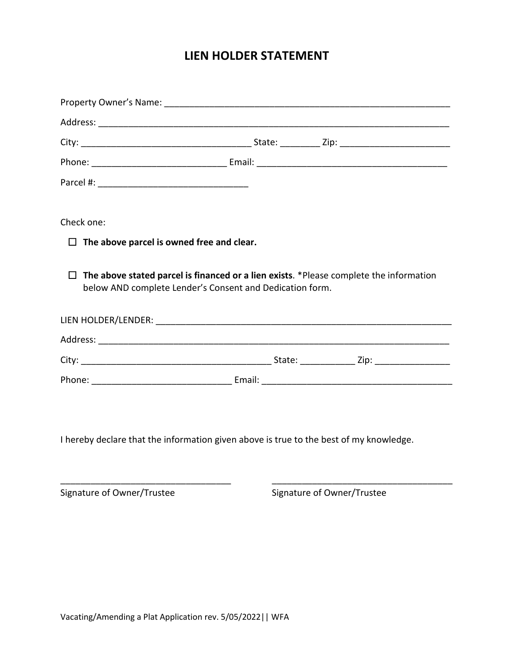# **LIEN HOLDER STATEMENT**

| Check one:                                       |                                                                                               |  |
|--------------------------------------------------|-----------------------------------------------------------------------------------------------|--|
| $\Box$ The above parcel is owned free and clear. |                                                                                               |  |
|                                                  | $\Box$ The above stated parcel is financed or a lien exists. *Please complete the information |  |
|                                                  | below AND complete Lender's Consent and Dedication form.                                      |  |
|                                                  |                                                                                               |  |
|                                                  |                                                                                               |  |
|                                                  |                                                                                               |  |

I hereby declare that the information given above is true to the best of my knowledge.

\_\_\_\_\_\_\_\_\_\_\_\_\_\_\_\_\_\_\_\_\_\_\_\_\_\_\_\_\_\_\_\_\_\_ \_\_\_\_\_\_\_\_\_\_\_\_\_\_\_\_\_\_\_\_\_\_\_\_\_\_\_\_\_\_\_\_\_\_\_\_

Signature of Owner/Trustee Signature of Owner/Trustee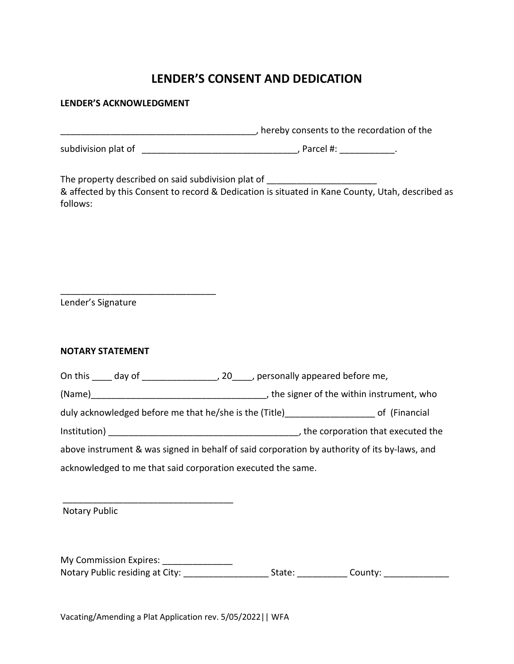# **LENDER'S CONSENT AND DEDICATION**

#### **LENDER'S ACKNOWLEDGMENT**

\_\_\_\_\_\_\_\_\_\_\_\_\_\_\_\_\_\_\_\_\_\_\_\_\_\_\_\_\_\_\_\_\_\_\_\_\_\_\_, hereby consents to the recordation of the

subdivision plat of \_\_\_\_\_\_\_\_\_\_\_\_\_\_\_\_\_\_\_\_\_\_\_\_\_\_\_\_\_\_\_, Parcel #: \_\_\_\_\_\_\_\_\_\_\_.

The property described on said subdivision plat of & affected by this Consent to record & Dedication is situated in Kane County, Utah, described as follows:

Lender's Signature

\_\_\_\_\_\_\_\_\_\_\_\_\_\_\_\_\_\_\_\_\_\_\_\_\_\_\_\_\_\_\_

#### **NOTARY STATEMENT**

On this \_\_\_\_ day of \_\_\_\_\_\_\_\_\_\_\_\_\_\_\_, 20\_\_\_\_, personally appeared before me,

(Name)\_\_\_\_\_\_\_\_\_\_\_\_\_\_\_\_\_\_\_\_\_\_\_\_\_\_\_\_\_\_\_\_\_\_\_, the signer of the within instrument, who

duly acknowledged before me that he/she is the (Title) entitled and the solution of (Financial

Institution) \_\_\_\_\_\_\_\_\_\_\_\_\_\_\_\_\_\_\_\_\_\_\_\_\_\_\_\_\_\_\_\_\_\_\_\_\_\_, the corporation that executed the

above instrument & was signed in behalf of said corporation by authority of its by-laws, and acknowledged to me that said corporation executed the same.

Notary Public

My Commission Expires: \_\_\_\_\_\_\_\_\_\_\_\_\_\_\_\_ Notary Public residing at City: \_\_\_\_\_\_\_\_\_\_\_\_\_\_\_\_\_\_\_\_\_\_\_State: \_\_\_\_\_\_\_\_\_\_\_\_\_\_County: \_\_\_\_\_\_\_\_\_\_\_\_\_\_\_\_

Vacating/Amending a Plat Application rev. 5/05/2022|| WFA

\_\_\_\_\_\_\_\_\_\_\_\_\_\_\_\_\_\_\_\_\_\_\_\_\_\_\_\_\_\_\_\_\_\_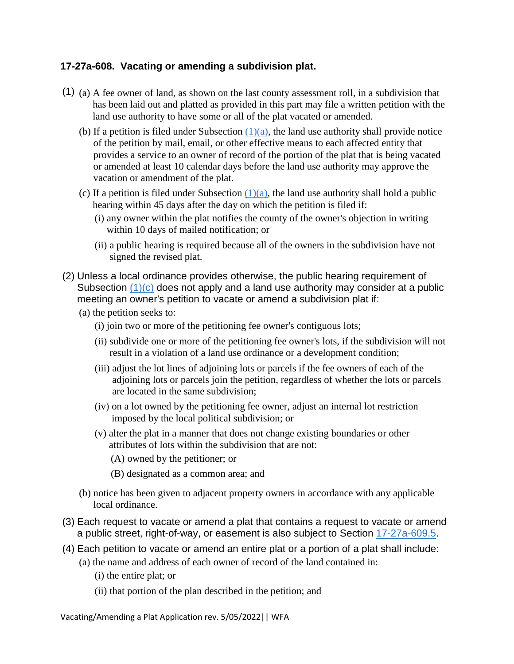### **17-27a-608. Vacating or amending a subdivision plat.**

- (1) (a) A fee owner of land, as shown on the last county assessment roll, in a subdivision that has been laid out and platted as provided in this part may file a written petition with the land use authority to have some or all of the plat vacated or amended.
	- (b) If a petition is filed under Subsection  $(1)(a)$ , the land use authority shall provide notice of the petition by mail, email, or other effective means to each affected entity that provides a service to an owner of record of the portion of the plat that is being vacated or amended at least 10 calendar days before the land use authority may approve the vacation or amendment of the plat.
	- (c) If a petition is filed under Subsection  $(1)(a)$ , the land use authority shall hold a public hearing within 45 days after the day on which the petition is filed if:
		- (i) any owner within the plat notifies the county of the owner's objection in writing within 10 days of mailed notification; or
		- (ii) a public hearing is required because all of the owners in the subdivision have not signed the revised plat.
- (2) Unless a local ordinance provides otherwise, the public hearing requirement of Subsection  $(1)(c)$  does not apply and a land use authority may consider at a public meeting an owner's petition to vacate or amend a subdivision plat if:
	- (a) the petition seeks to:
		- (i) join two or more of the petitioning fee owner's contiguous lots;
		- (ii) subdivide one or more of the petitioning fee owner's lots, if the subdivision will not result in a violation of a land use ordinance or a development condition;
		- (iii) adjust the lot lines of adjoining lots or parcels if the fee owners of each of the adjoining lots or parcels join the petition, regardless of whether the lots or parcels are located in the same subdivision;
		- (iv) on a lot owned by the petitioning fee owner, adjust an internal lot restriction imposed by the local political subdivision; or
		- (v) alter the plat in a manner that does not change existing boundaries or other attributes of lots within the subdivision that are not:
			- (A) owned by the petitioner; or
			- (B) designated as a common area; and
	- (b) notice has been given to adjacent property owners in accordance with any applicable local ordinance.
- (3) Each request to vacate or amend a plat that contains a request to vacate or amend a public street, right-of-way, or easement is also subject to Section [17-27a-609.5.](https://le.utah.gov/xcode/Title17/Chapter27A/17-27a-S609.5.html?v=C17-27a-S609.5_1800010118000101)
- (4) Each petition to vacate or amend an entire plat or a portion of a plat shall include:
	- (a) the name and address of each owner of record of the land contained in:
		- (i) the entire plat; or
		- (ii) that portion of the plan described in the petition; and

Vacating/Amending a Plat Application rev. 5/05/2022|| WFA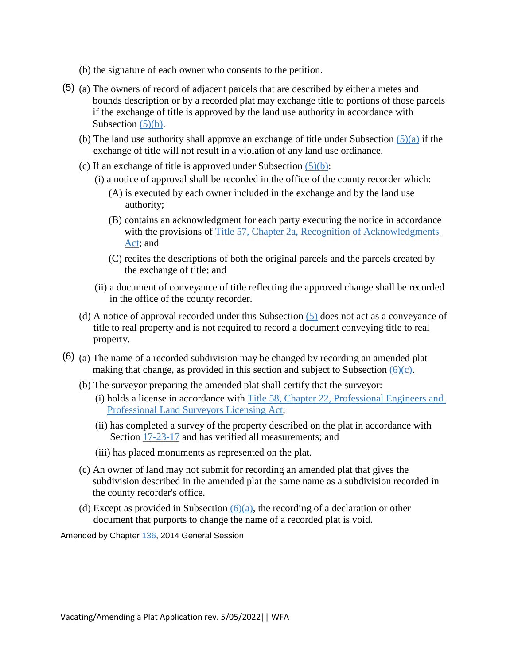- (b) the signature of each owner who consents to the petition.
- (5) (a) The owners of record of adjacent parcels that are described by either a metes and bounds description or by a recorded plat may exchange title to portions of those parcels if the exchange of title is approved by the land use authority in accordance with Subsection  $(5)(b)$ .
	- (b) The land use authority shall approve an exchange of title under Subsection  $(5)(a)$  if the exchange of title will not result in a violation of any land use ordinance.
	- (c) If an exchange of title is approved under Subsection  $(5)(b)$ :
		- (i) a notice of approval shall be recorded in the office of the county recorder which:
			- (A) is executed by each owner included in the exchange and by the land use authority;
			- (B) contains an acknowledgment for each party executing the notice in accordance with the provisions of Title 57, Chapter 2a, Recognition of Acknowledgments [Act;](https://le.utah.gov/xcode/Title57/Chapter2A/57-2a.html?v=C57-2a_1800010118000101) and
			- (C) recites the descriptions of both the original parcels and the parcels created by the exchange of title; and
		- (ii) a document of conveyance of title reflecting the approved change shall be recorded in the office of the county recorder.
	- (d) A notice of approval recorded under this Subsection [\(5\)](https://le.utah.gov/xcode/Title17/Chapter27A/17-27a-S608.html?v=C17-27a-S608_2014040320140513#17-27a-608(5)) does not act as a conveyance of title to real property and is not required to record a document conveying title to real property.
- (6) (a) The name of a recorded subdivision may be changed by recording an amended plat making that change, as provided in this section and subject to Subsection  $(6)(c)$ .
	- (b) The surveyor preparing the amended plat shall certify that the surveyor:
		- (i) holds a license in accordance with [Title 58, Chapter 22, Professional Engineers and](https://le.utah.gov/xcode/Title58/Chapter22/58-22.html?v=C58-22_1800010118000101)  [Professional Land Surveyors Licensing Act;](https://le.utah.gov/xcode/Title58/Chapter22/58-22.html?v=C58-22_1800010118000101)
		- (ii) has completed a survey of the property described on the plat in accordance with Section [17-23-17](https://le.utah.gov/xcode/Title17/Chapter23/17-23-S17.html?v=C17-23-S17_2016051020160510) and has verified all measurements; and
		- (iii) has placed monuments as represented on the plat.
	- (c) An owner of land may not submit for recording an amended plat that gives the subdivision described in the amended plat the same name as a subdivision recorded in the county recorder's office.
	- (d) Except as provided in Subsection  $(6)(a)$ , the recording of a declaration or other document that purports to change the name of a recorded plat is void.

Amended by Chapter [136,](http://le.utah.gov/UtahCode/ChapterLookup.jsp?chap=136&sess=2014GS) 2014 General Session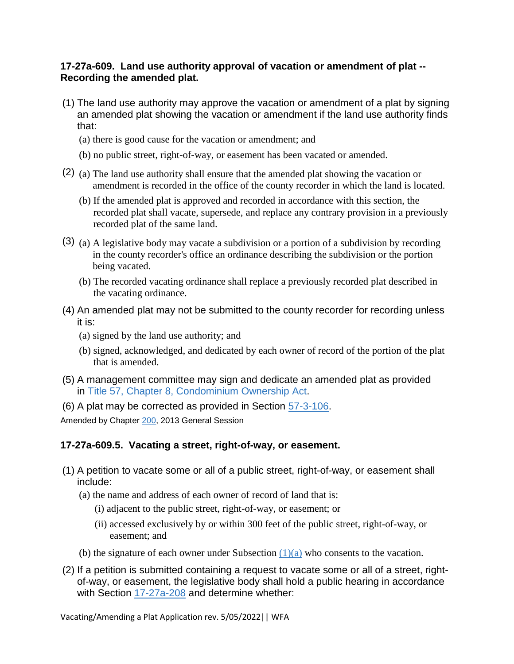#### **17-27a-609. Land use authority approval of vacation or amendment of plat -- Recording the amended plat.**

- (1) The land use authority may approve the vacation or amendment of a plat by signing an amended plat showing the vacation or amendment if the land use authority finds that:
	- (a) there is good cause for the vacation or amendment; and
	- (b) no public street, right-of-way, or easement has been vacated or amended.
- (2) (a) The land use authority shall ensure that the amended plat showing the vacation or amendment is recorded in the office of the county recorder in which the land is located.
	- (b) If the amended plat is approved and recorded in accordance with this section, the recorded plat shall vacate, supersede, and replace any contrary provision in a previously recorded plat of the same land.
- (3) (a) A legislative body may vacate a subdivision or a portion of a subdivision by recording in the county recorder's office an ordinance describing the subdivision or the portion being vacated.
	- (b) The recorded vacating ordinance shall replace a previously recorded plat described in the vacating ordinance.
- (4) An amended plat may not be submitted to the county recorder for recording unless it is:
	- (a) signed by the land use authority; and
	- (b) signed, acknowledged, and dedicated by each owner of record of the portion of the plat that is amended.
- (5) A management committee may sign and dedicate an amended plat as provided in [Title 57, Chapter 8, Condominium Ownership Act.](https://le.utah.gov/xcode/Title57/Chapter8/57-8.html?v=C57-8_1800010118000101)
- (6) A plat may be corrected as provided in Section [57-3-106.](https://le.utah.gov/xcode/Title57/Chapter3/57-3-S106.html?v=C57-3-S106_2014040320150701)

Amended by Chapter [200,](http://le.utah.gov/UtahCode/ChapterLookup.jsp?chap=200&sess=2013GS) 2013 General Session

## **17-27a-609.5. Vacating a street, right-of-way, or easement.**

- (1) A petition to vacate some or all of a public street, right-of-way, or easement shall include:
	- (a) the name and address of each owner of record of land that is:
		- (i) adjacent to the public street, right-of-way, or easement; or
		- (ii) accessed exclusively by or within 300 feet of the public street, right-of-way, or easement; and
	- (b) the signature of each owner under Subsection  $(1)(a)$  who consents to the vacation.
- (2) If a petition is submitted containing a request to vacate some or all of a street, rightof-way, or easement, the legislative body shall hold a public hearing in accordance with Section [17-27a-208](https://le.utah.gov/xcode/Title17/Chapter27A/17-27a-S208.html?v=C17-27a-S208_1800010118000101) and determine whether: